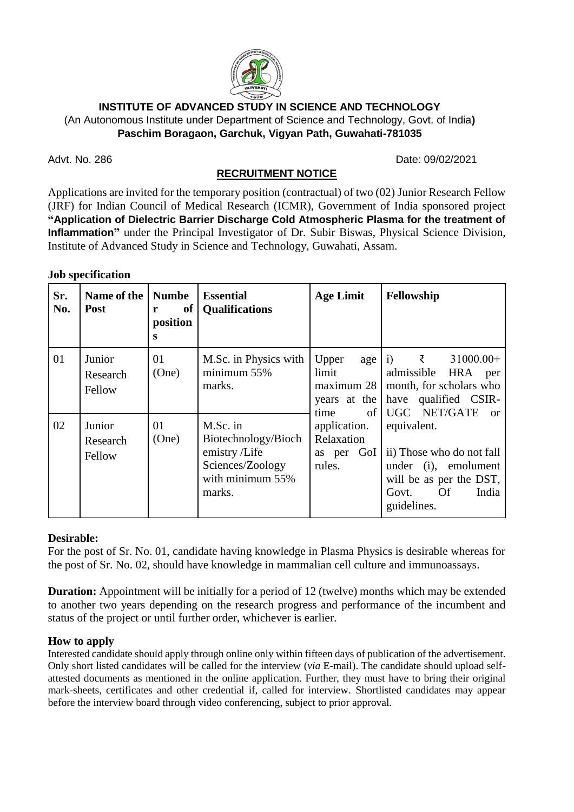

## **INSTITUTE OF ADVANCED STUDY IN SCIENCE AND TECHNOLOGY** (An Autonomous Institute under Department of Science and Technology, Govt. of India**) Paschim Boragaon, Garchuk, Vigyan Path, Guwahati-781035**

Advt. No. 286 Date: 09/02/2021

# **RECRUITMENT NOTICE**

Applications are invited for the temporary position (contractual) of two (02) Junior Research Fellow (JRF) for Indian Council of Medical Research (ICMR), Government of India sponsored project **"Application of Dielectric Barrier Discharge Cold Atmospheric Plasma for the treatment of Inflammation"** under the Principal Investigator of Dr. Subir Biswas, Physical Science Division, Institute of Advanced Study in Science and Technology, Guwahati, Assam.

### **Job specification**

| Sr.<br>No. | Name of the<br><b>Post</b>   | <b>Numbe</b><br>of<br>r<br>position<br>s | <b>Essential</b><br><b>Qualifications</b>                                                         | <b>Age Limit</b>                                                                                  | Fellowship                                                                                                                                                                                                                                                                                             |
|------------|------------------------------|------------------------------------------|---------------------------------------------------------------------------------------------------|---------------------------------------------------------------------------------------------------|--------------------------------------------------------------------------------------------------------------------------------------------------------------------------------------------------------------------------------------------------------------------------------------------------------|
| 01         | Junior<br>Research<br>Fellow | 01<br>(One)                              | M.Sc. in Physics with<br>minimum 55%<br>marks.                                                    | Upper<br>age<br>limit<br>maximum 28<br>time<br>application.<br>Relaxation<br>as per GoI<br>rules. | $\vert i \rangle$<br>$\bar{\zeta}$<br>$31000.00+$<br>admissible<br>HRA per<br>month, for scholars who<br>years at the have qualified CSIR-<br>of UGC NET/GATE or<br>equivalent.<br>ii) Those who do not fall<br>under (i), emolument<br>will be as per the DST,<br>Of<br>India<br>Govt.<br>guidelines. |
| 02         | Junior<br>Research<br>Fellow | 01<br>(One)                              | M.Sc. in<br>Biotechnology/Bioch<br>emistry/Life<br>Sciences/Zoology<br>with minimum 55%<br>marks. |                                                                                                   |                                                                                                                                                                                                                                                                                                        |

### **Desirable:**

For the post of Sr. No. 01, candidate having knowledge in Plasma Physics is desirable whereas for the post of Sr. No. 02, should have knowledge in mammalian cell culture and immunoassays.

**Duration:** Appointment will be initially for a period of 12 (twelve) months which may be extended to another two years depending on the research progress and performance of the incumbent and status of the project or until further order, whichever is earlier.

### **How to apply**

Interested candidate should apply through online only within fifteen days of publication of the advertisement. Only short listed candidates will be called for the interview (*via* E-mail). The candidate should upload selfattested documents as mentioned in the online application. Further, they must have to bring their original mark-sheets, certificates and other credential if, called for interview. Shortlisted candidates may appear before the interview board through video conferencing, subject to prior approval.